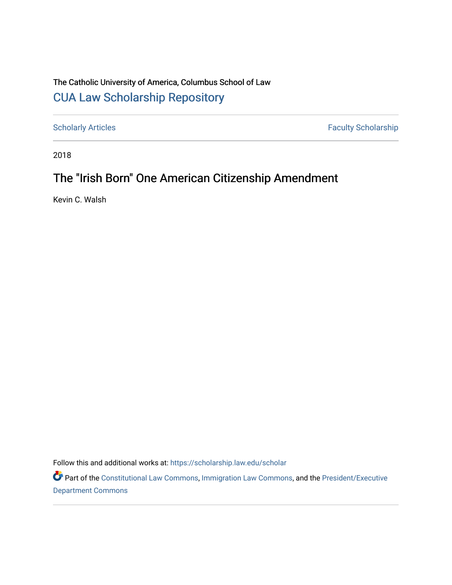## The Catholic University of America, Columbus School of Law [CUA Law Scholarship Repository](https://scholarship.law.edu/)

[Scholarly Articles](https://scholarship.law.edu/scholar) Faculty Scholarship

2018

# The "Irish Born" One American Citizenship Amendment

Kevin C. Walsh

Follow this and additional works at: [https://scholarship.law.edu/scholar](https://scholarship.law.edu/scholar?utm_source=scholarship.law.edu%2Fscholar%2F1085&utm_medium=PDF&utm_campaign=PDFCoverPages)

Part of the [Constitutional Law Commons,](https://network.bepress.com/hgg/discipline/589?utm_source=scholarship.law.edu%2Fscholar%2F1085&utm_medium=PDF&utm_campaign=PDFCoverPages) [Immigration Law Commons](https://network.bepress.com/hgg/discipline/604?utm_source=scholarship.law.edu%2Fscholar%2F1085&utm_medium=PDF&utm_campaign=PDFCoverPages), and the [President/Executive](https://network.bepress.com/hgg/discipline/1118?utm_source=scholarship.law.edu%2Fscholar%2F1085&utm_medium=PDF&utm_campaign=PDFCoverPages) [Department Commons](https://network.bepress.com/hgg/discipline/1118?utm_source=scholarship.law.edu%2Fscholar%2F1085&utm_medium=PDF&utm_campaign=PDFCoverPages)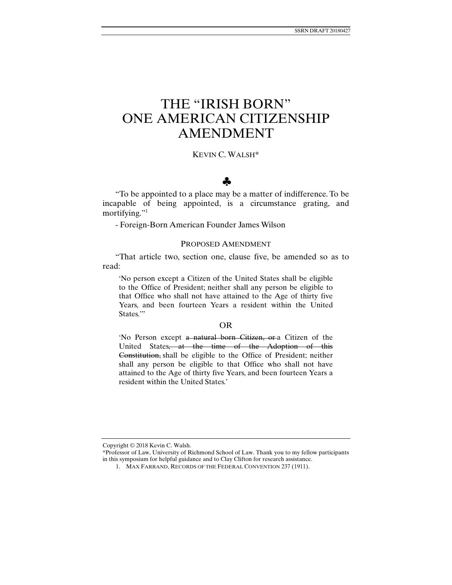# THE "IRISH BORN" ONE AMERICAN CITIZENSHIP AMENDMENT

## KEVIN C. WALSH\*

## ♣

"To be appointed to a place may be a matter of indifference. To be incapable of being appointed, is a circumstance grating, and mortifying."<sup>1</sup>

- Foreign-Born American Founder James Wilson

### PROPOSED AMENDMENT

"That article two, section one, clause five, be amended so as to read:

'No person except a Citizen of the United States shall be eligible to the Office of President; neither shall any person be eligible to that Office who shall not have attained to the Age of thirty five Years, and been fourteen Years a resident within the United States."

#### OR

'No Person except a natural born Citizen, or a Citizen of the United States, at the time of the Adoption of this Constitution, shall be eligible to the Office of President; neither shall any person be eligible to that Office who shall not have attained to the Age of thirty five Years, and been fourteen Years a resident within the United States.'

Copyright © 2018 Kevin C. Walsh.

<sup>\*</sup>Professor of Law, University of Richmond School of Law. Thank you to my fellow participants in this symposium for helpful guidance and to Clay Clifton for research assistance.

 <sup>1.</sup> MAX FARRAND, RECORDS OF THE FEDERAL CONVENTION 237 (1911).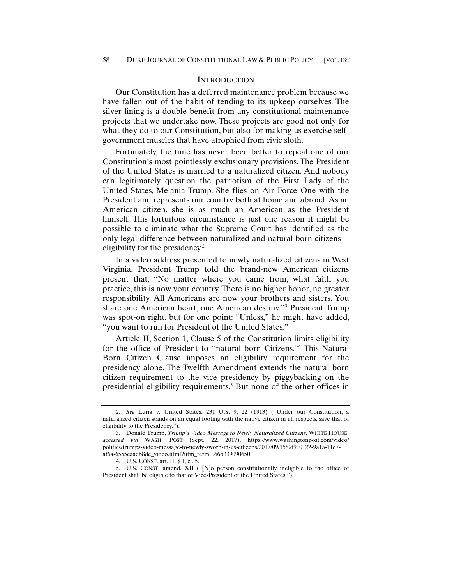## **INTRODUCTION**

Our Constitution has a deferred maintenance problem because we have fallen out of the habit of tending to its upkeep ourselves. The silver lining is a double benefit from any constitutional maintenance projects that we undertake now. These projects are good not only for what they do to our Constitution, but also for making us exercise selfgovernment muscles that have atrophied from civic sloth.

Fortunately, the time has never been better to repeal one of our Constitution's most pointlessly exclusionary provisions. The President of the United States is married to a naturalized citizen. And nobody can legitimately question the patriotism of the First Lady of the United States, Melania Trump. She flies on Air Force One with the President and represents our country both at home and abroad. As an American citizen, she is as much an American as the President himself. This fortuitous circumstance is just one reason it might be possible to eliminate what the Supreme Court has identified as the only legal difference between naturalized and natural born citizens eligibility for the presidency.<sup>2</sup>

In a video address presented to newly naturalized citizens in West Virginia, President Trump told the brand-new American citizens present that, "No matter where you came from, what faith you practice, this is now your country. There is no higher honor, no greater responsibility. All Americans are now your brothers and sisters. You share one American heart, one American destiny."3 President Trump was spot-on right, but for one point: "Unless," he might have added, "you want to run for President of the United States."

Article II, Section 1, Clause 5 of the Constitution limits eligibility for the office of President to "natural born Citizens."4 This Natural Born Citizen Clause imposes an eligibility requirement for the presidency alone. The Twelfth Amendment extends the natural born citizen requirement to the vice presidency by piggybacking on the presidential eligibility requirements.<sup>5</sup> But none of the other offices in

 <sup>2.</sup> *See* Luria v. United States, 231 U.S. 9, 22 (1913) ("Under our Constitution, a naturalized citizen stands on an equal footing with the native citizen in all respects, save that of eligibility to the Presidency.").

 <sup>3.</sup> Donald Trump, *Trump's Video Message to Newly Naturalized Citizens,* WHITE HOUSE*, accessed via* WASH. POST (Sept. 22, 2017), https://www.washingtonpost.com/video/ politics/trumps-video-message-to-newly-sworn-in-us-citizens/2017/09/15/0d910122-9a1a-11e7 af6a-6555caaeb8dc\_video.html?utm\_term=.66b339090650.

 <sup>4.</sup> U.S. CONST. art. II, § 1, cl. 5.

 <sup>5.</sup> U.S. CONST. amend. XII ("[N]o person constitutionally ineligible to the office of President shall be eligible to that of Vice-President of the United States.").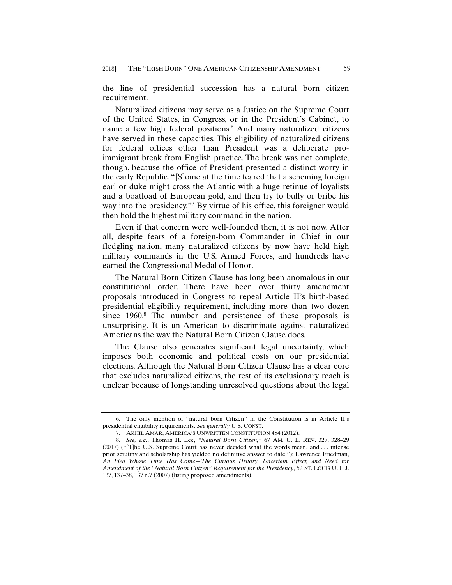the line of presidential succession has a natural born citizen requirement.

Naturalized citizens may serve as a Justice on the Supreme Court of the United States, in Congress, or in the President's Cabinet, to name a few high federal positions.<sup>6</sup> And many naturalized citizens have served in these capacities. This eligibility of naturalized citizens for federal offices other than President was a deliberate proimmigrant break from English practice. The break was not complete, though, because the office of President presented a distinct worry in the early Republic. "[S]ome at the time feared that a scheming foreign earl or duke might cross the Atlantic with a huge retinue of loyalists and a boatload of European gold, and then try to bully or bribe his way into the presidency."7 By virtue of his office, this foreigner would then hold the highest military command in the nation.

Even if that concern were well-founded then, it is not now. After all, despite fears of a foreign-born Commander in Chief in our fledgling nation, many naturalized citizens by now have held high military commands in the U.S. Armed Forces, and hundreds have earned the Congressional Medal of Honor.

The Natural Born Citizen Clause has long been anomalous in our constitutional order. There have been over thirty amendment proposals introduced in Congress to repeal Article II's birth-based presidential eligibility requirement, including more than two dozen since 1960.<sup>8</sup> The number and persistence of these proposals is unsurprising. It is un-American to discriminate against naturalized Americans the way the Natural Born Citizen Clause does.

The Clause also generates significant legal uncertainty, which imposes both economic and political costs on our presidential elections. Although the Natural Born Citizen Clause has a clear core that excludes naturalized citizens, the rest of its exclusionary reach is unclear because of longstanding unresolved questions about the legal

 <sup>6.</sup> The only mention of "natural born Citizen" in the Constitution is in Article II's presidential eligibility requirements. *See generally* U.S. CONST.

 <sup>7.</sup> AKHIL AMAR, AMERICA'S UNWRITTEN CONSTITUTION 454 (2012).

 <sup>8.</sup> *See, e.g.*, Thomas H. Lee, *"Natural Born Citizen,"* 67 AM. U. L. REV. 327, 328–29 (2017) ("[T]he U.S. Supreme Court has never decided what the words mean, and . . . intense prior scrutiny and scholarship has yielded no definitive answer to date."); Lawrence Friedman, *An Idea Whose Time Has Come—The Curious History, Uncertain Effect, and Need for Amendment of the "Natural Born Citizen" Requirement for the Presidency*, 52 ST. LOUIS U. L.J. 137, 137–38, 137 n.7 (2007) (listing proposed amendments).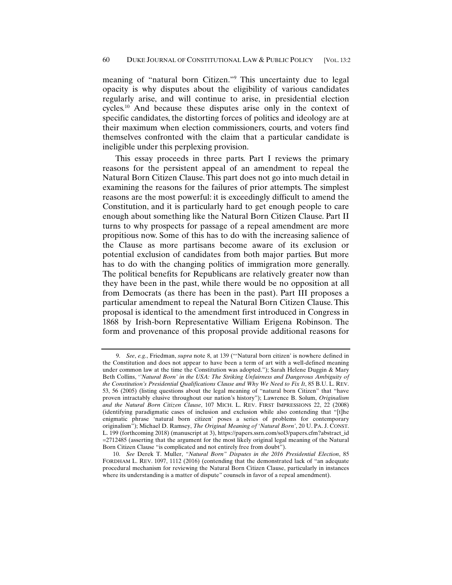meaning of "natural born Citizen."9 This uncertainty due to legal opacity is why disputes about the eligibility of various candidates regularly arise, and will continue to arise, in presidential election cycles.10 And because these disputes arise only in the context of specific candidates, the distorting forces of politics and ideology are at their maximum when election commissioners, courts, and voters find themselves confronted with the claim that a particular candidate is ineligible under this perplexing provision.

This essay proceeds in three parts. Part I reviews the primary reasons for the persistent appeal of an amendment to repeal the Natural Born Citizen Clause. This part does not go into much detail in examining the reasons for the failures of prior attempts. The simplest reasons are the most powerful: it is exceedingly difficult to amend the Constitution, and it is particularly hard to get enough people to care enough about something like the Natural Born Citizen Clause. Part II turns to why prospects for passage of a repeal amendment are more propitious now. Some of this has to do with the increasing salience of the Clause as more partisans become aware of its exclusion or potential exclusion of candidates from both major parties. But more has to do with the changing politics of immigration more generally. The political benefits for Republicans are relatively greater now than they have been in the past, while there would be no opposition at all from Democrats (as there has been in the past). Part III proposes a particular amendment to repeal the Natural Born Citizen Clause. This proposal is identical to the amendment first introduced in Congress in 1868 by Irish-born Representative William Erigena Robinson. The form and provenance of this proposal provide additional reasons for

 <sup>9.</sup> *See*, *e.g.*, Friedman, *supra* note 8, at 139 ("'Natural born citizen' is nowhere defined in the Constitution and does not appear to have been a term of art with a well-defined meaning under common law at the time the Constitution was adopted."); Sarah Helene Duggin & Mary Beth Collins, '*'Natural Born' in the USA: The Striking Unfairness and Dangerous Ambiguity of the Constitution's Presidential Qualifications Clause and Why We Need to Fix It*, 85 B.U. L. REV. 53, 56 (2005) (listing questions about the legal meaning of "natural born Citizen" that "have proven intractably elusive throughout our nation's history"); Lawrence B. Solum, *Originalism and the Natural Born Citizen Clause*, 107 MICH. L. REV. FIRST IMPRESSIONS 22, 22 (2008) (identifying paradigmatic cases of inclusion and exclusion while also contending that "[t]he enigmatic phrase 'natural born citizen' poses a series of problems for contemporary originalism"); Michael D. Ramsey, *The Original Meaning of 'Natural Born'*, 20 U. PA. J. CONST. L. 199 (forthcoming 2018) (manuscript at 3), https://papers.ssrn.com/sol3/papers.cfm?abstract\_id =2712485 (asserting that the argument for the most likely original legal meaning of the Natural Born Citizen Clause "is complicated and not entirely free from doubt").

 <sup>10.</sup> *See* Derek T. Muller, *"Natural Born" Disputes in the 2016 Presidential Election*, 85 FORDHAM L. REV. 1097, 1112 (2016) (contending that the demonstrated lack of "an adequate procedural mechanism for reviewing the Natural Born Citizen Clause, particularly in instances where its understanding is a matter of dispute" counsels in favor of a repeal amendment).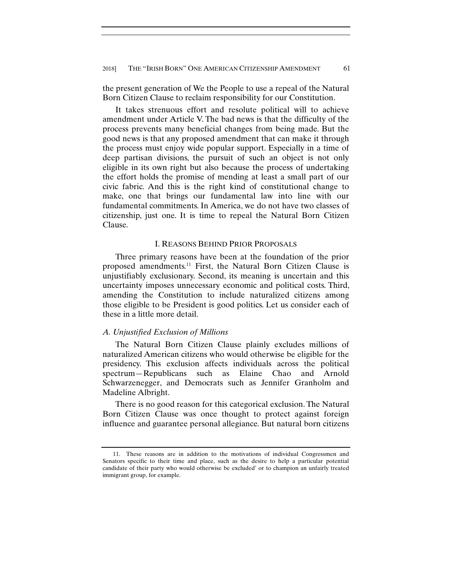the present generation of We the People to use a repeal of the Natural Born Citizen Clause to reclaim responsibility for our Constitution.

It takes strenuous effort and resolute political will to achieve amendment under Article V. The bad news is that the difficulty of the process prevents many beneficial changes from being made. But the good news is that any proposed amendment that can make it through the process must enjoy wide popular support. Especially in a time of deep partisan divisions, the pursuit of such an object is not only eligible in its own right but also because the process of undertaking the effort holds the promise of mending at least a small part of our civic fabric. And this is the right kind of constitutional change to make, one that brings our fundamental law into line with our fundamental commitments. In America, we do not have two classes of citizenship, just one. It is time to repeal the Natural Born Citizen Clause.

#### I. REASONS BEHIND PRIOR PROPOSALS

Three primary reasons have been at the foundation of the prior proposed amendments.11 First, the Natural Born Citizen Clause is unjustifiably exclusionary. Second, its meaning is uncertain and this uncertainty imposes unnecessary economic and political costs. Third, amending the Constitution to include naturalized citizens among those eligible to be President is good politics. Let us consider each of these in a little more detail.

#### *A. Unjustified Exclusion of Millions*

The Natural Born Citizen Clause plainly excludes millions of naturalized American citizens who would otherwise be eligible for the presidency. This exclusion affects individuals across the political spectrum—Republicans such as Elaine Chao and Arnold Schwarzenegger, and Democrats such as Jennifer Granholm and Madeline Albright.

There is no good reason for this categorical exclusion. The Natural Born Citizen Clause was once thought to protect against foreign influence and guarantee personal allegiance. But natural born citizens

 <sup>11.</sup> These reasons are in addition to the motivations of individual Congressmen and Senators specific to their time and place, such as the desire to help a particular potential candidate of their party who would otherwise be excluded' or to champion an unfairly treated immigrant group, for example.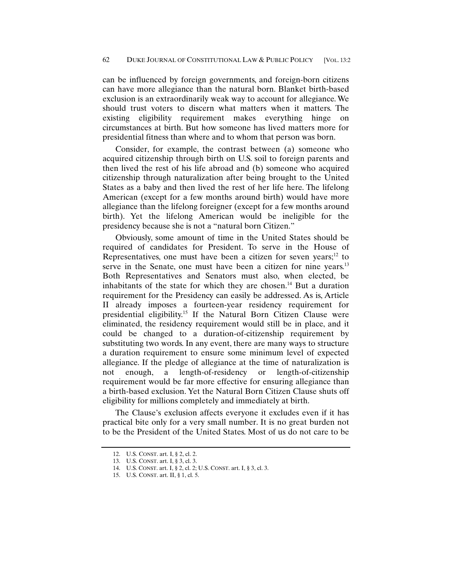can be influenced by foreign governments, and foreign-born citizens can have more allegiance than the natural born. Blanket birth-based exclusion is an extraordinarily weak way to account for allegiance. We should trust voters to discern what matters when it matters. The existing eligibility requirement makes everything hinge on circumstances at birth. But how someone has lived matters more for presidential fitness than where and to whom that person was born.

Consider, for example, the contrast between (a) someone who acquired citizenship through birth on U.S. soil to foreign parents and then lived the rest of his life abroad and (b) someone who acquired citizenship through naturalization after being brought to the United States as a baby and then lived the rest of her life here. The lifelong American (except for a few months around birth) would have more allegiance than the lifelong foreigner (except for a few months around birth). Yet the lifelong American would be ineligible for the presidency because she is not a "natural born Citizen."

Obviously, some amount of time in the United States should be required of candidates for President. To serve in the House of Representatives, one must have been a citizen for seven years;<sup>12</sup> to serve in the Senate, one must have been a citizen for nine years.<sup>13</sup> Both Representatives and Senators must also, when elected, be inhabitants of the state for which they are chosen.<sup>14</sup> But a duration requirement for the Presidency can easily be addressed. As is, Article II already imposes a fourteen-year residency requirement for presidential eligibility.15 If the Natural Born Citizen Clause were eliminated, the residency requirement would still be in place, and it could be changed to a duration-of-citizenship requirement by substituting two words. In any event, there are many ways to structure a duration requirement to ensure some minimum level of expected allegiance. If the pledge of allegiance at the time of naturalization is not enough, a length-of-residency or length-of-citizenship requirement would be far more effective for ensuring allegiance than a birth-based exclusion. Yet the Natural Born Citizen Clause shuts off eligibility for millions completely and immediately at birth.

The Clause's exclusion affects everyone it excludes even if it has practical bite only for a very small number. It is no great burden not to be the President of the United States. Most of us do not care to be

 <sup>12.</sup> U.S. CONST. art. I, § 2, cl. 2.

 <sup>13.</sup> U.S. CONST. art. I, § 3, cl. 3.

 <sup>14.</sup> U.S. CONST. art. I, § 2, cl. 2; U.S. CONST. art. I, § 3, cl. 3.

 <sup>15.</sup> U.S. CONST. art. II, § 1, cl. 5.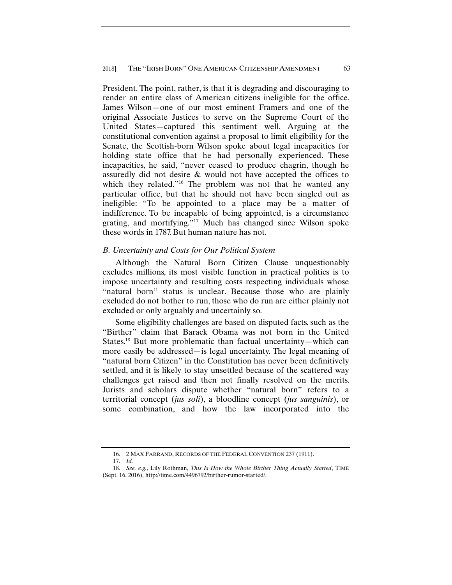President. The point, rather, is that it is degrading and discouraging to render an entire class of American citizens ineligible for the office. James Wilson—one of our most eminent Framers and one of the original Associate Justices to serve on the Supreme Court of the United States—captured this sentiment well. Arguing at the constitutional convention against a proposal to limit eligibility for the Senate, the Scottish-born Wilson spoke about legal incapacities for holding state office that he had personally experienced. These incapacities, he said, "never ceased to produce chagrin, though he assuredly did not desire & would not have accepted the offices to which they related."<sup>16</sup> The problem was not that he wanted any particular office, but that he should not have been singled out as ineligible: "To be appointed to a place may be a matter of indifference. To be incapable of being appointed, is a circumstance grating, and mortifying."17 Much has changed since Wilson spoke these words in 1787. But human nature has not.

## *B. Uncertainty and Costs for Our Political System*

Although the Natural Born Citizen Clause unquestionably excludes millions, its most visible function in practical politics is to impose uncertainty and resulting costs respecting individuals whose "natural born" status is unclear. Because those who are plainly excluded do not bother to run, those who do run are either plainly not excluded or only arguably and uncertainly so.

Some eligibility challenges are based on disputed facts, such as the "Birther" claim that Barack Obama was not born in the United States.18 But more problematic than factual uncertainty—which can more easily be addressed—is legal uncertainty. The legal meaning of "natural born Citizen" in the Constitution has never been definitively settled, and it is likely to stay unsettled because of the scattered way challenges get raised and then not finally resolved on the merits. Jurists and scholars dispute whether "natural born" refers to a territorial concept (*jus soli*), a bloodline concept (*jus sanguinis*), or some combination, and how the law incorporated into the

 <sup>16. 2</sup> MAX FARRAND, RECORDS OF THE FEDERAL CONVENTION 237 (1911).

 <sup>17.</sup> *Id.*

 <sup>18.</sup> *See, e.g.*, Lily Rothman, *This Is How the Whole Birther Thing Actually Started*, TIME (Sept. 16, 2016), http://time.com/4496792/birther-rumor-started/.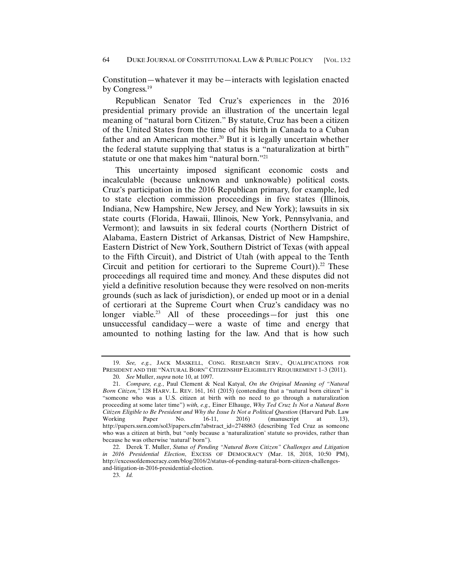Constitution—whatever it may be—interacts with legislation enacted by Congress.<sup>19</sup>

Republican Senator Ted Cruz's experiences in the 2016 presidential primary provide an illustration of the uncertain legal meaning of "natural born Citizen." By statute, Cruz has been a citizen of the United States from the time of his birth in Canada to a Cuban father and an American mother.<sup>20</sup> But it is legally uncertain whether the federal statute supplying that status is a "naturalization at birth" statute or one that makes him "natural born."21

This uncertainty imposed significant economic costs and incalculable (because unknown and unknowable) political costs. Cruz's participation in the 2016 Republican primary, for example, led to state election commission proceedings in five states (Illinois, Indiana, New Hampshire, New Jersey, and New York); lawsuits in six state courts (Florida, Hawaii, Illinois, New York, Pennsylvania, and Vermont); and lawsuits in six federal courts (Northern District of Alabama, Eastern District of Arkansas, District of New Hampshire, Eastern District of New York, Southern District of Texas (with appeal to the Fifth Circuit), and District of Utah (with appeal to the Tenth Circuit and petition for certiorari to the Supreme Court)).<sup>22</sup> These proceedings all required time and money. And these disputes did not yield a definitive resolution because they were resolved on non-merits grounds (such as lack of jurisdiction), or ended up moot or in a denial of certiorari at the Supreme Court when Cruz's candidacy was no longer viable.<sup>23</sup> All of these proceedings—for just this one unsuccessful candidacy—were a waste of time and energy that amounted to nothing lasting for the law. And that is how such

 <sup>19.</sup> *See, e.g.*, JACK MASKELL, CONG. RESEARCH SERV., QUALIFICATIONS FOR PRESIDENT AND THE "NATURAL BORN" CITIZENSHIP ELIGIBILITY REQUIREMENT 1–3 (2011).

 <sup>20.</sup> *See* Muller, *supra* note 10, at 1097.

 <sup>21.</sup> *Compare, e.g.*, Paul Clement & Neal Katyal, *On the Original Meaning of "Natural Born Citizen,"* 128 HARV. L. REV. 161, 161 (2015) (contending that a "natural born citizen" is "someone who was a U.S. citizen at birth with no need to go through a naturalization proceeding at some later time") *with, e.g.,* Einer Elhauge, *Why Ted Cruz Is Not a Natural Born Citizen Eligible to Be President and Why the Issue Is Not a Political Question* (Harvard Pub. Law Working Paper No. 16-11, 2016) (manuscript at 13), http://papers.ssrn.com/sol3/papers.cfm?abstract\_id=2748863 (describing Ted Cruz as someone who was a citizen at birth, but "only because a 'naturalization' statute so provides, rather than because he was otherwise 'natural' born").

 <sup>22.</sup> Derek T. Muller, *Status of Pending "Natural Born Citizen" Challenges and Litigation in 2016 Presidential Election*, EXCESS OF DEMOCRACY (Mar. 18, 2018, 10:50 PM), http://excessofdemocracy.com/blog/2016/2/status-of-pending-natural-born-citizen-challengesand-litigation-in-2016-presidential-election.

 <sup>23.</sup> *Id.*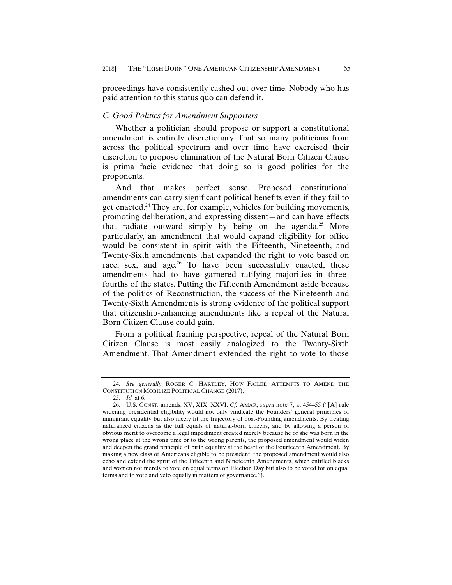proceedings have consistently cashed out over time. Nobody who has paid attention to this status quo can defend it.

#### *C. Good Politics for Amendment Supporters*

Whether a politician should propose or support a constitutional amendment is entirely discretionary. That so many politicians from across the political spectrum and over time have exercised their discretion to propose elimination of the Natural Born Citizen Clause is prima facie evidence that doing so is good politics for the proponents.

And that makes perfect sense. Proposed constitutional amendments can carry significant political benefits even if they fail to get enacted.24 They are, for example, vehicles for building movements, promoting deliberation, and expressing dissent—and can have effects that radiate outward simply by being on the agenda.<sup>25</sup> More particularly, an amendment that would expand eligibility for office would be consistent in spirit with the Fifteenth, Nineteenth, and Twenty-Sixth amendments that expanded the right to vote based on race, sex, and age.<sup>26</sup> To have been successfully enacted, these amendments had to have garnered ratifying majorities in threefourths of the states. Putting the Fifteenth Amendment aside because of the politics of Reconstruction, the success of the Nineteenth and Twenty-Sixth Amendments is strong evidence of the political support that citizenship-enhancing amendments like a repeal of the Natural Born Citizen Clause could gain.

From a political framing perspective, repeal of the Natural Born Citizen Clause is most easily analogized to the Twenty-Sixth Amendment. That Amendment extended the right to vote to those

 <sup>24.</sup> *See generally* ROGER C. HARTLEY, HOW FAILED ATTEMPTS TO AMEND THE CONSTITUTION MOBILIZE POLITICAL CHANGE (2017).

 <sup>25.</sup> *Id.* at 6.

 <sup>26.</sup> U.S. CONST. amends. XV, XIX, XXVI. *Cf.* AMAR, *supra* note 7, at 454–55 ("[A] rule widening presidential eligibility would not only vindicate the Founders' general principles of immigrant equality but also nicely fit the trajectory of post-Founding amendments. By treating naturalized citizens as the full equals of natural-born citizens, and by allowing a person of obvious merit to overcome a legal impediment created merely because he or she was born in the wrong place at the wrong time or to the wrong parents, the proposed amendment would widen and deepen the grand principle of birth equality at the heart of the Fourteenth Amendment. By making a new class of Americans eligible to be president, the proposed amendment would also echo and extend the spirit of the Fifteenth and Nineteenth Amendments, which entitled blacks and women not merely to vote on equal terms on Election Day but also to be voted for on equal terms and to vote and veto equally in matters of governance.").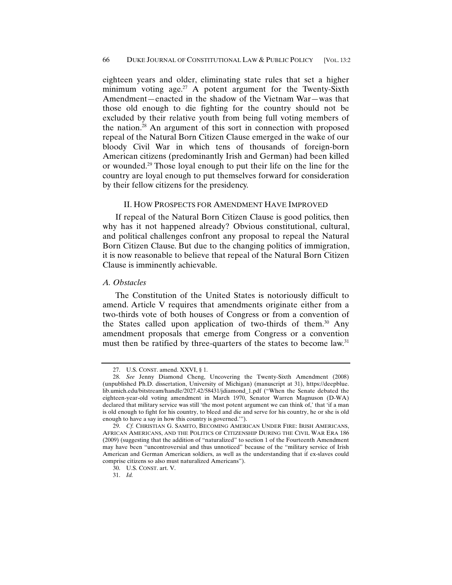eighteen years and older, eliminating state rules that set a higher minimum voting age.<sup>27</sup> A potent argument for the Twenty-Sixth Amendment—enacted in the shadow of the Vietnam War—was that those old enough to die fighting for the country should not be excluded by their relative youth from being full voting members of the nation.28 An argument of this sort in connection with proposed repeal of the Natural Born Citizen Clause emerged in the wake of our bloody Civil War in which tens of thousands of foreign-born American citizens (predominantly Irish and German) had been killed or wounded.29 Those loyal enough to put their life on the line for the country are loyal enough to put themselves forward for consideration by their fellow citizens for the presidency.

#### II. HOW PROSPECTS FOR AMENDMENT HAVE IMPROVED

If repeal of the Natural Born Citizen Clause is good politics, then why has it not happened already? Obvious constitutional, cultural, and political challenges confront any proposal to repeal the Natural Born Citizen Clause. But due to the changing politics of immigration, it is now reasonable to believe that repeal of the Natural Born Citizen Clause is imminently achievable.

#### *A. Obstacles*

The Constitution of the United States is notoriously difficult to amend. Article V requires that amendments originate either from a two-thirds vote of both houses of Congress or from a convention of the States called upon application of two-thirds of them.<sup>30</sup> Any amendment proposals that emerge from Congress or a convention must then be ratified by three-quarters of the states to become law.<sup>31</sup>

 <sup>27.</sup> U.S. CONST. amend. XXVI, § 1.

 <sup>28.</sup> *See* Jenny Diamond Cheng, Uncovering the Twenty-Sixth Amendment (2008) (unpublished Ph.D. dissertation, University of Michigan) (manuscript at 31), https://deepblue. lib.umich.edu/bitstream/handle/2027.42/58431/jdiamond\_1.pdf ("When the Senate debated the eighteen-year-old voting amendment in March 1970, Senator Warren Magnuson (D-WA) declared that military service was still 'the most potent argument we can think of,' that 'if a man is old enough to fight for his country, to bleed and die and serve for his country, he or she is old enough to have a say in how this country is governed.'").

 <sup>29.</sup> *Cf.* CHRISTIAN G. SAMITO, BECOMING AMERICAN UNDER FIRE: IRISH AMERICANS, AFRICAN AMERICANS, AND THE POLITICS OF CITIZENSHIP DURING THE CIVIL WAR ERA 186 (2009) (suggesting that the addition of "naturalized" to section 1 of the Fourteenth Amendment may have been "uncontroversial and thus unnoticed" because of the "military service of Irish American and German American soldiers, as well as the understanding that if ex-slaves could comprise citizens so also must naturalized Americans").

 <sup>30.</sup> U.S. CONST. art. V.

 <sup>31.</sup> *Id.*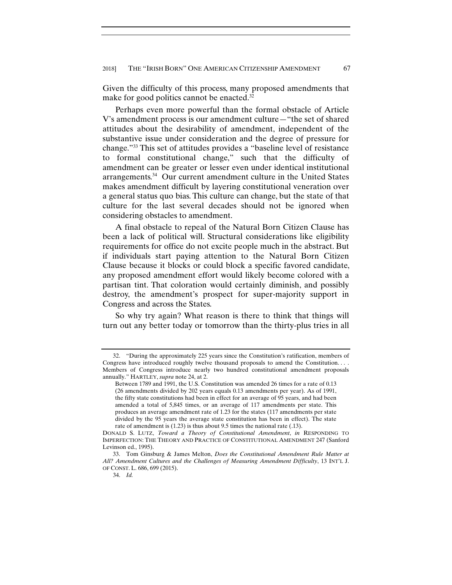Given the difficulty of this process, many proposed amendments that make for good politics cannot be enacted. $32$ 

Perhaps even more powerful than the formal obstacle of Article V's amendment process is our amendment culture—"the set of shared attitudes about the desirability of amendment, independent of the substantive issue under consideration and the degree of pressure for change."33 This set of attitudes provides a "baseline level of resistance to formal constitutional change," such that the difficulty of amendment can be greater or lesser even under identical institutional arrangements.34 Our current amendment culture in the United States makes amendment difficult by layering constitutional veneration over a general status quo bias. This culture can change, but the state of that culture for the last several decades should not be ignored when considering obstacles to amendment.

A final obstacle to repeal of the Natural Born Citizen Clause has been a lack of political will. Structural considerations like eligibility requirements for office do not excite people much in the abstract. But if individuals start paying attention to the Natural Born Citizen Clause because it blocks or could block a specific favored candidate, any proposed amendment effort would likely become colored with a partisan tint. That coloration would certainly diminish, and possibly destroy, the amendment's prospect for super-majority support in Congress and across the States.

So why try again? What reason is there to think that things will turn out any better today or tomorrow than the thirty-plus tries in all

 <sup>32. &</sup>quot;During the approximately 225 years since the Constitution's ratification, members of Congress have introduced roughly twelve thousand proposals to amend the Constitution. . . . Members of Congress introduce nearly two hundred constitutional amendment proposals annually." HARTLEY, *supra* note 24, at 2.

Between 1789 and 1991, the U.S. Constitution was amended 26 times for a rate of 0.13 (26 amendments divided by 202 years equals 0.13 amendments per year). As of 1991, the fifty state constitutions had been in effect for an average of 95 years, and had been amended a total of 5,845 times, or an average of 117 amendments per state. This produces an average amendment rate of 1.23 for the states (117 amendments per state divided by the 95 years the average state constitution has been in effect). The state rate of amendment is (1.23) is thus about 9.5 times the national rate (.13).

DONALD S. LUTZ, *Toward a Theory of Constitutional Amendment*, *in* RESPONDING TO IMPERFECTION: THE THEORY AND PRACTICE OF CONSTITUTIONAL AMENDMENT 247 (Sanford Levinson ed., 1995).

 <sup>33.</sup> Tom Ginsburg & James Melton, *Does the Constitutional Amendment Rule Matter at All? Amendment Cultures and the Challenges of Measuring Amendment Difficulty*, 13 INT'L J. OF CONST. L. 686, 699 (2015).

 <sup>34.</sup> *Id.*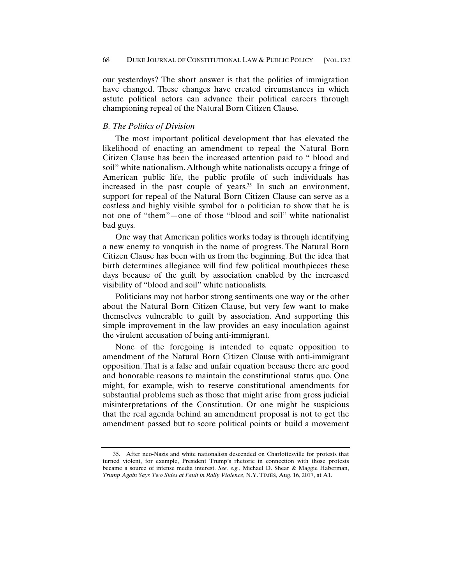our yesterdays? The short answer is that the politics of immigration have changed. These changes have created circumstances in which astute political actors can advance their political careers through championing repeal of the Natural Born Citizen Clause.

## *B. The Politics of Division*

The most important political development that has elevated the likelihood of enacting an amendment to repeal the Natural Born Citizen Clause has been the increased attention paid to " blood and soil" white nationalism. Although white nationalists occupy a fringe of American public life, the public profile of such individuals has increased in the past couple of years. $35$  In such an environment, support for repeal of the Natural Born Citizen Clause can serve as a costless and highly visible symbol for a politician to show that he is not one of "them"—one of those "blood and soil" white nationalist bad guys.

One way that American politics works today is through identifying a new enemy to vanquish in the name of progress. The Natural Born Citizen Clause has been with us from the beginning. But the idea that birth determines allegiance will find few political mouthpieces these days because of the guilt by association enabled by the increased visibility of "blood and soil" white nationalists.

Politicians may not harbor strong sentiments one way or the other about the Natural Born Citizen Clause, but very few want to make themselves vulnerable to guilt by association. And supporting this simple improvement in the law provides an easy inoculation against the virulent accusation of being anti-immigrant.

None of the foregoing is intended to equate opposition to amendment of the Natural Born Citizen Clause with anti-immigrant opposition. That is a false and unfair equation because there are good and honorable reasons to maintain the constitutional status quo. One might, for example, wish to reserve constitutional amendments for substantial problems such as those that might arise from gross judicial misinterpretations of the Constitution. Or one might be suspicious that the real agenda behind an amendment proposal is not to get the amendment passed but to score political points or build a movement

 <sup>35.</sup> After neo-Nazis and white nationalists descended on Charlottesville for protests that turned violent, for example, President Trump's rhetoric in connection with those protests became a source of intense media interest. *See, e.g.*, Michael D. Shear & Maggie Haberman, *Trump Again Says Two Sides at Fault in Rally Violence*, N.Y. TIMES, Aug. 16, 2017, at A1.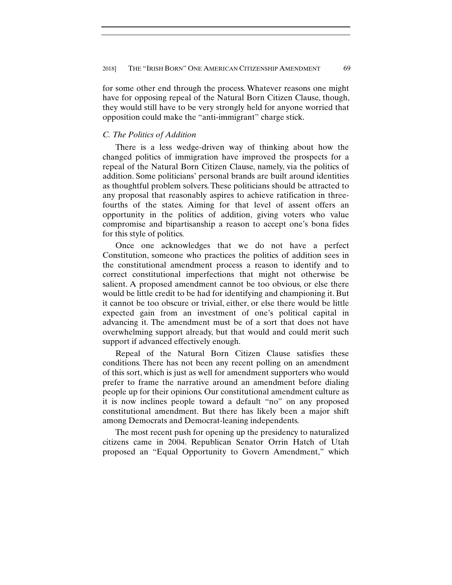for some other end through the process. Whatever reasons one might have for opposing repeal of the Natural Born Citizen Clause, though, they would still have to be very strongly held for anyone worried that opposition could make the "anti-immigrant" charge stick.

## *C. The Politics of Addition*

There is a less wedge-driven way of thinking about how the changed politics of immigration have improved the prospects for a repeal of the Natural Born Citizen Clause, namely, via the politics of addition. Some politicians' personal brands are built around identities as thoughtful problem solvers. These politicians should be attracted to any proposal that reasonably aspires to achieve ratification in threefourths of the states. Aiming for that level of assent offers an opportunity in the politics of addition, giving voters who value compromise and bipartisanship a reason to accept one's bona fides for this style of politics.

Once one acknowledges that we do not have a perfect Constitution, someone who practices the politics of addition sees in the constitutional amendment process a reason to identify and to correct constitutional imperfections that might not otherwise be salient. A proposed amendment cannot be too obvious, or else there would be little credit to be had for identifying and championing it. But it cannot be too obscure or trivial, either, or else there would be little expected gain from an investment of one's political capital in advancing it. The amendment must be of a sort that does not have overwhelming support already, but that would and could merit such support if advanced effectively enough.

Repeal of the Natural Born Citizen Clause satisfies these conditions. There has not been any recent polling on an amendment of this sort, which is just as well for amendment supporters who would prefer to frame the narrative around an amendment before dialing people up for their opinions. Our constitutional amendment culture as it is now inclines people toward a default "no" on any proposed constitutional amendment. But there has likely been a major shift among Democrats and Democrat-leaning independents.

The most recent push for opening up the presidency to naturalized citizens came in 2004. Republican Senator Orrin Hatch of Utah proposed an "Equal Opportunity to Govern Amendment," which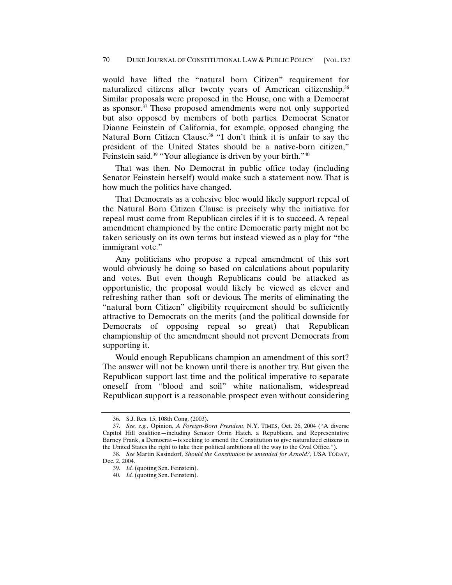would have lifted the "natural born Citizen" requirement for naturalized citizens after twenty years of American citizenship.36 Similar proposals were proposed in the House, one with a Democrat as sponsor.37 These proposed amendments were not only supported but also opposed by members of both parties. Democrat Senator Dianne Feinstein of California, for example, opposed changing the Natural Born Citizen Clause.<sup>38</sup> "I don't think it is unfair to say the president of the United States should be a native-born citizen," Feinstein said.<sup>39</sup> "Your allegiance is driven by your birth."<sup>40</sup>

That was then. No Democrat in public office today (including Senator Feinstein herself) would make such a statement now. That is how much the politics have changed.

That Democrats as a cohesive bloc would likely support repeal of the Natural Born Citizen Clause is precisely why the initiative for repeal must come from Republican circles if it is to succeed. A repeal amendment championed by the entire Democratic party might not be taken seriously on its own terms but instead viewed as a play for "the immigrant vote."

Any politicians who propose a repeal amendment of this sort would obviously be doing so based on calculations about popularity and votes. But even though Republicans could be attacked as opportunistic, the proposal would likely be viewed as clever and refreshing rather than soft or devious. The merits of eliminating the "natural born Citizen" eligibility requirement should be sufficiently attractive to Democrats on the merits (and the political downside for Democrats of opposing repeal so great) that Republican championship of the amendment should not prevent Democrats from supporting it.

Would enough Republicans champion an amendment of this sort? The answer will not be known until there is another try. But given the Republican support last time and the political imperative to separate oneself from "blood and soil" white nationalism, widespread Republican support is a reasonable prospect even without considering

 <sup>36.</sup> S.J. Res. 15, 108th Cong. (2003).

 <sup>37.</sup> *See, e.g.*, Opinion, *A Foreign-Born President*, N.Y. TIMES, Oct. 26, 2004 ("A diverse Capitol Hill coalition—including Senator Orrin Hatch, a Republican, and Representative Barney Frank, a Democrat—is seeking to amend the Constitution to give naturalized citizens in the United States the right to take their political ambitions all the way to the Oval Office.").

 <sup>38.</sup> *See* Martin Kasindorf, *Should the Constitution be amended for Arnold?*, USA TODAY, Dec. 2, 2004.

 <sup>39.</sup> *Id.* (quoting Sen. Feinstein).

 <sup>40.</sup> *Id.* (quoting Sen. Feinstein).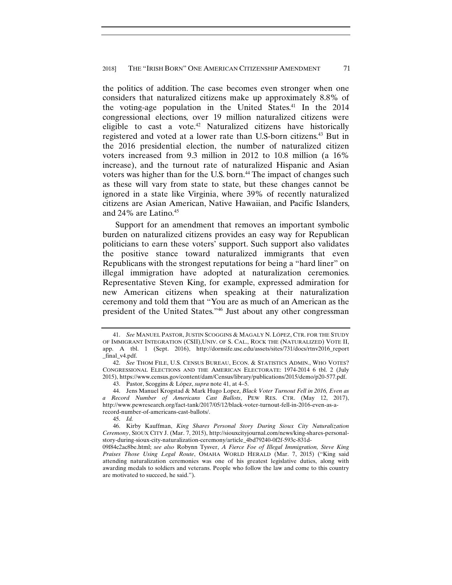the politics of addition. The case becomes even stronger when one considers that naturalized citizens make up approximately 8.8% of the voting-age population in the United States.<sup>41</sup> In the  $2014$ congressional elections, over 19 million naturalized citizens were eligible to cast a vote.42 Naturalized citizens have historically registered and voted at a lower rate than U.S-born citizens.<sup>43</sup> But in the 2016 presidential election, the number of naturalized citizen voters increased from 9.3 million in 2012 to 10.8 million (a 16% increase), and the turnout rate of naturalized Hispanic and Asian voters was higher than for the U.S. born.<sup>44</sup> The impact of changes such as these will vary from state to state, but these changes cannot be ignored in a state like Virginia, where 39% of recently naturalized citizens are Asian American, Native Hawaiian, and Pacific Islanders, and  $24\%$  are Latino.<sup>45</sup>

Support for an amendment that removes an important symbolic burden on naturalized citizens provides an easy way for Republican politicians to earn these voters' support. Such support also validates the positive stance toward naturalized immigrants that even Republicans with the strongest reputations for being a "hard liner" on illegal immigration have adopted at naturalization ceremonies. Representative Steven King, for example, expressed admiration for new American citizens when speaking at their naturalization ceremony and told them that "You are as much of an American as the president of the United States."46 Just about any other congressman

 <sup>41.</sup> *See* MANUEL PASTOR, JUSTIN SCOGGINS & MAGALY N. LÓPEZ, CTR. FOR THE STUDY OF IMMIGRANT INTEGRATION (CSII),UNIV. OF S. CAL., ROCK THE (NATURALIZED) VOTE II, app. A tbl. 1 (Sept. 2016), http://dornsife.usc.edu/assets/sites/731/docs/rtnv2016\_report \_final\_v4.pdf.

 <sup>42.</sup> *See* THOM FILE, U.S. CENSUS BUREAU, ECON. & STATISTICS ADMIN., WHO VOTES? CONGRESSIONAL ELECTIONS AND THE AMERICAN ELECTORATE: 1974-2014 6 tbl. 2 (July 2015), https://www.census.gov/content/dam/Census/library/publications/2015/demo/p20-577.pdf.

 <sup>43.</sup> Pastor, Scoggins & López, *supra* note 41, at 4–5.

 <sup>44.</sup> Jens Manuel Krogstad & Mark Hugo Lopez, *Black Voter Turnout Fell in 2016, Even as a Record Number of Americans Cast Ballots*, PEW RES. CTR. (May 12, 2017), http://www.pewresearch.org/fact-tank/2017/05/12/black-voter-turnout-fell-in-2016-even-as-arecord-number-of-americans-cast-ballots/.

 <sup>45.</sup> *Id.*

 <sup>46.</sup> Kirby Kauffman, *King Shares Personal Story During Sioux City Naturalization Ceremony*, SIOUX CITY J. (Mar. 7, 2015), http://siouxcityjournal.com/news/king-shares-personalstory-during-sioux-city-naturalization-ceremony/article\_4bd79240-0f2f-593c-831d-

<sup>09</sup>f84c2ac8be.html; *see also* Robynn Tysver, *A Fierce Foe of Illegal Immigration, Steve King Praises Those Using Legal Route*, OMAHA WORLD HERALD (Mar. 7, 2015) ("King said attending naturalization ceremonies was one of his greatest legislative duties, along with awarding medals to soldiers and veterans. People who follow the law and come to this country are motivated to succeed, he said.").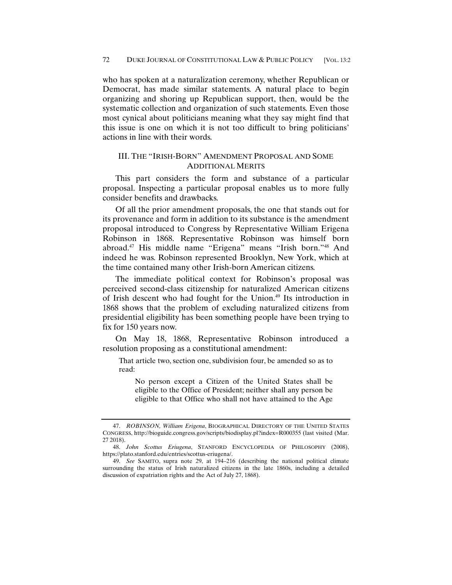who has spoken at a naturalization ceremony, whether Republican or Democrat, has made similar statements. A natural place to begin organizing and shoring up Republican support, then, would be the systematic collection and organization of such statements. Even those most cynical about politicians meaning what they say might find that this issue is one on which it is not too difficult to bring politicians' actions in line with their words.

## III. THE "IRISH-BORN" AMENDMENT PROPOSAL AND SOME ADDITIONAL MERITS

This part considers the form and substance of a particular proposal. Inspecting a particular proposal enables us to more fully consider benefits and drawbacks.

Of all the prior amendment proposals, the one that stands out for its provenance and form in addition to its substance is the amendment proposal introduced to Congress by Representative William Erigena Robinson in 1868. Representative Robinson was himself born abroad.47 His middle name "Erigena" means "Irish born."48 And indeed he was. Robinson represented Brooklyn, New York, which at the time contained many other Irish-born American citizens.

The immediate political context for Robinson's proposal was perceived second-class citizenship for naturalized American citizens of Irish descent who had fought for the Union.49 Its introduction in 1868 shows that the problem of excluding naturalized citizens from presidential eligibility has been something people have been trying to fix for 150 years now.

On May 18, 1868, Representative Robinson introduced a resolution proposing as a constitutional amendment:

That article two, section one, subdivision four, be amended so as to read:

No person except a Citizen of the United States shall be eligible to the Office of President; neither shall any person be eligible to that Office who shall not have attained to the Age

 <sup>47.</sup> *ROBINSON, William Erigena*, BIOGRAPHICAL DIRECTORY OF THE UNITED STATES CONGRESS, http://bioguide.congress.gov/scripts/biodisplay.pl?index=R000355 (last visited (Mar. 27 2018).

 <sup>48.</sup> *John Scottus Eriugena*, STANFORD ENCYCLOPEDIA OF PHILOSOPHY (2008), https://plato.stanford.edu/entries/scottus-eriugena/.

 <sup>49.</sup> *See* SAMITO, supra note 29, at 194–216 (describing the national political climate surrounding the status of Irish naturalized citizens in the late 1860s, including a detailed discussion of expatriation rights and the Act of July 27, 1868).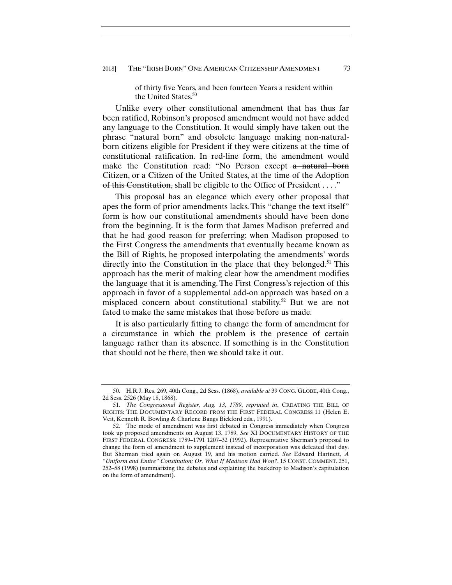of thirty five Years, and been fourteen Years a resident within the United States.<sup>50</sup>

Unlike every other constitutional amendment that has thus far been ratified, Robinson's proposed amendment would not have added any language to the Constitution. It would simply have taken out the phrase "natural born" and obsolete language making non-naturalborn citizens eligible for President if they were citizens at the time of constitutional ratification. In red-line form, the amendment would make the Constitution read: "No Person except a natural born Citizen, or a Citizen of the United States, at the time of the Adoption of this Constitution, shall be eligible to the Office of President . . . ."

This proposal has an elegance which every other proposal that apes the form of prior amendments lacks. This "change the text itself" form is how our constitutional amendments should have been done from the beginning. It is the form that James Madison preferred and that he had good reason for preferring; when Madison proposed to the First Congress the amendments that eventually became known as the Bill of Rights, he proposed interpolating the amendments' words directly into the Constitution in the place that they belonged.<sup>51</sup> This approach has the merit of making clear how the amendment modifies the language that it is amending. The First Congress's rejection of this approach in favor of a supplemental add-on approach was based on a misplaced concern about constitutional stability.<sup>52</sup> But we are not fated to make the same mistakes that those before us made.

It is also particularly fitting to change the form of amendment for a circumstance in which the problem is the presence of certain language rather than its absence. If something is in the Constitution that should not be there, then we should take it out.

 <sup>50.</sup> H.R.J. Res. 269, 40th Cong., 2d Sess. (1868), *available at* 39 CONG. GLOBE, 40th Cong., 2d Sess. 2526 (May 18, 1868).

 <sup>51.</sup> *The Congressional Register, Aug. 13, 1789*, *reprinted in*, CREATING THE BILL OF RIGHTS: THE DOCUMENTARY RECORD FROM THE FIRST FEDERAL CONGRESS 11 (Helen E. Veit, Kenneth R. Bowling & Charlene Bangs Bickford eds., 1991).

 <sup>52.</sup> The mode of amendment was first debated in Congress immediately when Congress took up proposed amendments on August 13, 1789. *See* XI DOCUMENTARY HISTORY OF THE FIRST FEDERAL CONGRESS: 1789–1791 1207–32 (1992). Representative Sherman's proposal to change the form of amendment to supplement instead of incorporation was defeated that day. But Sherman tried again on August 19, and his motion carried. *See* Edward Hartnett, *A "Uniform and Entire" Constitution; Or, What If Madison Had Won?*, 15 CONST. COMMENT. 251, 252–58 (1998) (summarizing the debates and explaining the backdrop to Madison's capitulation on the form of amendment).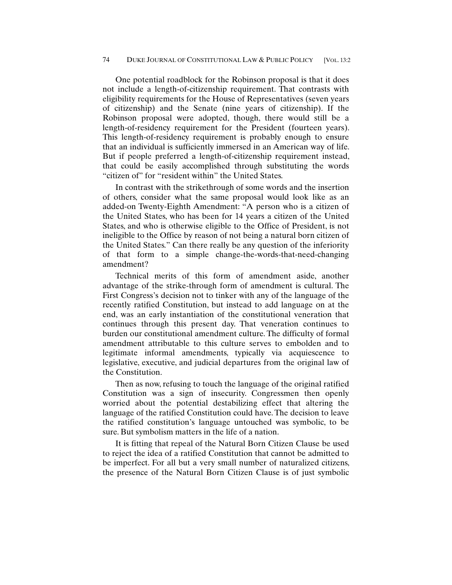One potential roadblock for the Robinson proposal is that it does not include a length-of-citizenship requirement. That contrasts with eligibility requirements for the House of Representatives (seven years of citizenship) and the Senate (nine years of citizenship). If the Robinson proposal were adopted, though, there would still be a length-of-residency requirement for the President (fourteen years). This length-of-residency requirement is probably enough to ensure that an individual is sufficiently immersed in an American way of life. But if people preferred a length-of-citizenship requirement instead, that could be easily accomplished through substituting the words "citizen of" for "resident within" the United States.

In contrast with the strikethrough of some words and the insertion of others, consider what the same proposal would look like as an added-on Twenty-Eighth Amendment: "A person who is a citizen of the United States, who has been for 14 years a citizen of the United States, and who is otherwise eligible to the Office of President, is not ineligible to the Office by reason of not being a natural born citizen of the United States." Can there really be any question of the inferiority of that form to a simple change-the-words-that-need-changing amendment?

Technical merits of this form of amendment aside, another advantage of the strike-through form of amendment is cultural. The First Congress's decision not to tinker with any of the language of the recently ratified Constitution, but instead to add language on at the end, was an early instantiation of the constitutional veneration that continues through this present day. That veneration continues to burden our constitutional amendment culture. The difficulty of formal amendment attributable to this culture serves to embolden and to legitimate informal amendments, typically via acquiescence to legislative, executive, and judicial departures from the original law of the Constitution.

Then as now, refusing to touch the language of the original ratified Constitution was a sign of insecurity. Congressmen then openly worried about the potential destabilizing effect that altering the language of the ratified Constitution could have. The decision to leave the ratified constitution's language untouched was symbolic, to be sure. But symbolism matters in the life of a nation.

It is fitting that repeal of the Natural Born Citizen Clause be used to reject the idea of a ratified Constitution that cannot be admitted to be imperfect. For all but a very small number of naturalized citizens, the presence of the Natural Born Citizen Clause is of just symbolic